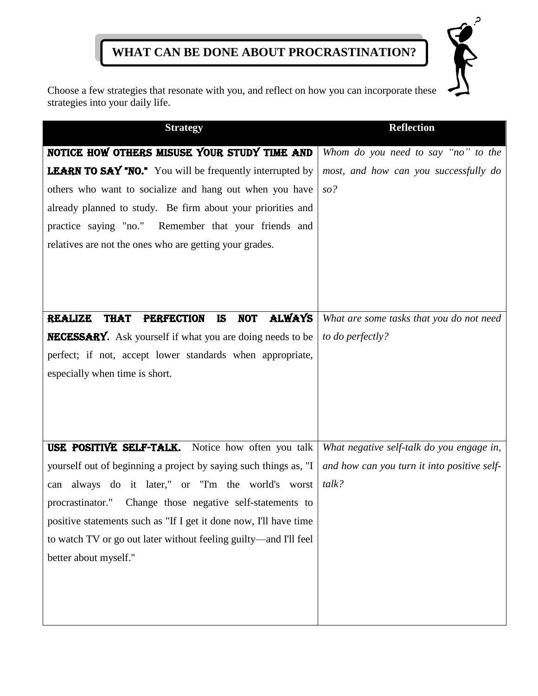## **WHAT CAN BE DONE ABOUT PROCRASTINATION?**



Choose a few strategies that resonate with you, and reflect on how you can incorporate these strategies into your daily life.

| <b>Strategy</b>                                                                                | <b>Reflection</b>                           |
|------------------------------------------------------------------------------------------------|---------------------------------------------|
| NOTICE HOW OTHERS MISUSE YOUR STUDY TIME AND                                                   | Whom do you need to say "no" to the         |
| <b>LEARN TO SAY "NO."</b> You will be frequently interrupted by                                | most, and how can you successfully do       |
| others who want to socialize and hang out when you have                                        | so?                                         |
| already planned to study. Be firm about your priorities and                                    |                                             |
| practice saying "no." Remember that your friends and                                           |                                             |
| relatives are not the ones who are getting your grades.                                        |                                             |
|                                                                                                |                                             |
|                                                                                                |                                             |
|                                                                                                |                                             |
| <b>ALWAYS</b><br><b>NOT</b><br><b>THAT</b><br><b>PERFECTION</b><br><b>IS</b><br><b>REALIZE</b> | What are some tasks that you do not need    |
| <b>NECESSARY.</b> Ask yourself if what you are doing needs to be                               | to do perfectly?                            |
| perfect; if not, accept lower standards when appropriate,                                      |                                             |
| especially when time is short.                                                                 |                                             |
|                                                                                                |                                             |
|                                                                                                |                                             |
|                                                                                                |                                             |
| USE POSITIVE SELF-TALK. Notice how often you talk                                              | What negative self-talk do you engage in,   |
| yourself out of beginning a project by saying such things as, "I                               | and how can you turn it into positive self- |
| always do it later," or "I'm the world's worst<br>can                                          | talk?                                       |
| procrastinator." Change those negative self-statements to                                      |                                             |
| positive statements such as "If I get it done now, I'll have time                              |                                             |
| to watch TV or go out later without feeling guilty-and I'll feel                               |                                             |
| better about myself."                                                                          |                                             |
|                                                                                                |                                             |
|                                                                                                |                                             |
|                                                                                                |                                             |